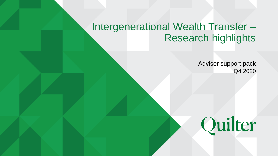# Intergenerational Wealth Transfer – Research highlights

Adviser support pack Q4 2020

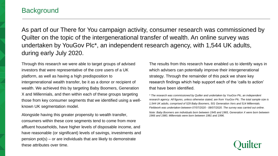## **Background**

As part of our There for You campaign activity, consumer research was commissioned by Quilter on the topic of the intergenerational transfer of wealth. An online survey was undertaken by YouGov Plc\*, an independent research agency, with 1,544 UK adults, during early July 2020.

Through this research we were able to target groups of advised investors that were representative of the core users of a UK platform, as well as having a high predisposition to intergenerational wealth transfer, be it as a donor or recipient of wealth. We achieved this by targeting Baby Boomers, Generation X and Millennials, and then within each of these groups targeting those from key consumer segments that we identified using a wellknown UK segmentation model.

Alongside having this greater propensity to wealth transfer, consumers within these core segments tend to come from more affluent households, have higher levels of disposable income, and have reasonable (or significant) levels of savings, investments and pension pot(s) – or are individuals that are likely to demonstrate these attributes over time.

The results from this research have enabled us to identify ways in which advisers can potentially improve their intergenerational strategy. Through the remainder of this pack we share key research findings which help support each of the 'calls to action' that have been identified.

*\* The research was commissioned by Quilter and undertaken by YouGov Plc, an independent research agency. All figures, unless otherwise stated, are from YouGov Plc. The total sample size is 1,544 UK adults, comprised of 529 Baby Boomers, 501 Generation Xers and 514 Millennials. Fieldwork was undertaken between 07/07/2020 - 08/07/2020. The survey was carried out online.*

*Note: Baby Boomers are individuals born between 1945 and 1965, Generation X were born between 1966 and 1980, Millennials were born between 1981 and 1996.*

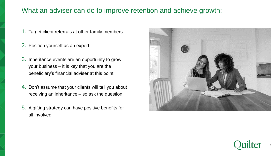## What an adviser can do to improve retention and achieve growth:

- 1. Target client referrals at other family members
- 2. Position yourself as an expert
- 3. Inheritance events are an opportunity to grow your business – it is key that you are the beneficiary's financial adviser at this point
- 4. Don't assume that your clients will tell you about receiving an inheritance – so ask the question
- 5. A gifting strategy can have positive benefits for all involved



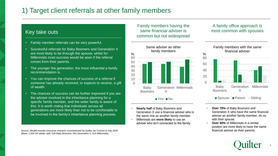## 1) Target client referrals at other family members

## **Key take outs**

- Family member referrals can be very powerful.
- Successful referrals for Baby Boomers and Generation X are most likely to be through the spouse, whilst for Millennials most success would be seen if the referral comes from their parents.
- The younger the generation, the more influential a family recommendation is.
- You can improve the chances of success of a referral if someone has already received, or expects to receive, a gift of wealth.
- The chances of success can be further improved if you are the adviser involved in the inheritance planning for a specific family member, and the wider family is aware of this. It is worth noting that individuals across all generations are more likely than not to be comfortable to be involved in the family's inheritance planning process.

Source: Wealth transfer consumer research commissioned by Quilter via YouGov in July 2020 financial adviser as their parents. (Base: 1,544 UK adults, split: 529 Baby Boomers, 501 Generation X, 514 Millennials)

Family members having the same financial adviser is common but not widespread



**No**Yes **No** 

- **Nearly half** of Baby Boomers and Generation X use a financial adviser who is the same one as another family member.
- Millennials are **more likely** to use an adviser who isn't connected to the family.

#### A family office approach is most common with spouses



- **Over 70%** of Baby Boomers and Generation X who have the same financial adviser as another family member, do so with their spouse.
- **Over 50%** of Millennials in a similar position are more likely to have the same

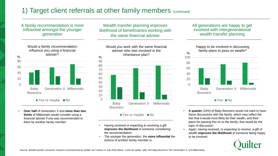## 1) Target client referrals at other family members (continued)

#### A family recommendation is most influential amongst the younger generation



 $\blacksquare$  Yes or maybe  $\blacksquare$  No

• **Over half** of Generation X and **more than two thirds** of Millennials would consider using a financial adviser if one was recommended to them by another family member.

Wealth transfer planning improves likelihood of beneficiaries working with the same financial adviser



 $\blacksquare$  Yes or maybe  $\blacksquare$  No

- Having received or expecting to receiving a gift **improves the likelihood** of someone considering the recommendation.
- The younger the generation, the **more influential** the actions of another family member is.

All generations are happy to get involved with intergenerational wealth transfer planning



**No** 

- **A quarter** (24%) of Baby Boomers would not want to have these discussions with the family, which may reflect the fact that it would most likely be their wealth, and their plans for passing this on to the family, that would be the topic of discussion.
- Again, having received, or expecting to receive, a gift of wealth **improves the likelihood** of someone being happy to be involved.

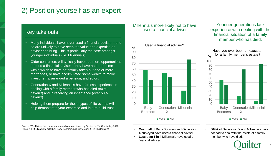## 2) Position yourself as an expert

### Key take outs

- Many individuals have never used a financial adviser and so are unlikely to have seen the value and expertise an adviser can bring. This is particularly the case amongst younger individuals (i.e. Millennials).
- Older consumers will typically have had more opportunities to need a financial adviser – they have had more time within which to have potentially taken out one or more mortgages, or have accumulated some wealth to make investments, arranged a pension, and so on.
- Generation X and Millennials have far less experience in dealing with a family member who has died (80%+ haven't) and in receiving an inheritance (over 50% haven't).
- Helping them prepare for these types of life events will help demonstrate your expertise and in turn build trust.

Source: Wealth transfer consumer research commissioned by Quilter via YouGov in July 2020 (Base: 1,544 UK adults, split: 529 Baby Boomers, 501 Generation X, 514 Millennials)

#### Millennials more likely not to have used a financial adviser



- **Over half** of Baby Boomers and Generation X surveyed have used a financial adviser.
- **Less than 1 in 4** Millennials have used a financial adviser.

Younger generations lack experience with dealing with the financial situation of a family member who has died.



 $\blacksquare$  Yes  $\blacksquare$  No

• **80%+** of Generation X and Millennials have not had to deal with the estate of a family member who have died.

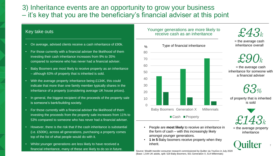## 3) Inheritance events are an opportunity to grow your business – it's key that you are the beneficiary's financial adviser at this point

#### Key take outs

- On average, advised clients receive a cash inheritance of £90k.
- For those currently with a financial adviser the likelihood of them investing their cash inheritance increases from 9% to 35% compared to someone who has never had a financial adviser.
- Baby Boomers are most likely to receive property as an inheritance – although 63% of property that is inherited is sold.
- With the average property inheritance being £134K, this could indicate that more than one family member typically shares in the inheritance of a property (considering average UK house prices).
- In general, the biggest recipient of the proceeds of the property sale is someone's bank/building society.
- For those currently with a financial adviser the likelihood of them investing the proceeds from the property sale increases from 11% to 53% compared to someone who has never had a financial adviser.
- However, there is the risk that if the cash inheritance is substantial (i.e. £500K), across all generations, purchasing a property comes top of the list of what people would do with it.
- Whilst younger generations are less likely to have received a financial inheritance, many of these are likely to do so in future.



Younger generations are more likely to

- People are **most likely** to receive an inheritance in the form of cash – with this increasingly likely amongst younger generations.
- **1 in 5** Baby boomers receive property when they inherit.

Source: Wealth transfer consumer research commissioned by Quilter via YouGov in July 2020 (Base: 1,544 UK adults, split: 529 Baby Boomers, 501 Generation X, 514 Millennials)

 $\pounds 43_k$ 

 $=$  the average cash inheritance overall



 $=$  the average cash inheritance for someone with a financial adviser



of property that is inherited is sold



= the average property inheritance

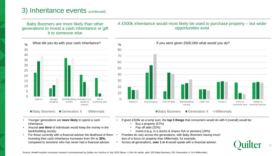## 3) Inheritance events (continued)

Baby Boomers are more likely than other generations to invest a cash inheritance or gift it to someone else

#### $\Omega$ 5 10 15 20 25 30 35 40 45 Spent it Bought property Bank/Building Invested it (i.e. society stocks & shares) Gift to someone else  $\%$  What did you do with your cash inheritance?  $\%$

 $\blacksquare$  Baby Boomers  $\blacksquare$  Generation  $X \blacksquare$  Millennials

A £500k inheritance would most likely be used to purchase property – but wider opportunities exist



• Younger generations are **more likely** to spend a cash inheritance.

- Around **one third** of individuals would keep the money in the bank/building society.
- For those currently with a financial adviser the likelihood of them investing their cash inheritance increases from 9% to **35%,**  compared to someone who has never had a financial adviser.
- If given £500k as a lump sum, the **top 3 things** that consumers would do with it (overall) would be:
	- Buy a property (57%)
	- Pay off debt (32%)
	- Invest it [e.g. in a stocks & shares ISA or pension] (28%)
- Priorities do vary across the generations, with Baby Boomers having much less of a focus on property than Millennials, for example.
	- Across all generations, **over 1 in 4** would speak with a financial adviser.

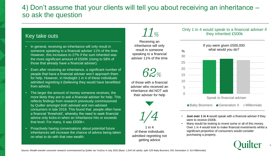## 4) Don't assume that your clients will tell you about receiving an inheritance – so ask the question

### Key take outs

- In general, receiving an inheritance will only result in someone speaking to a financial adviser 11% of the time. However, this increases to 27% if the sum inherited was the more significant amount of £500K (rising to 58% of those that already have a financial adviser).
- Even after receiving an inheritance, a significant number of people that have a financial adviser won't approach them for help. However, in hindsight 1 in 4 of these individuals admitted regretting it (believing they would have benefitted from advice).
- The larger the amount of money someone receives, the more likely they are to ask a financial adviser for help. This reflects findings from research previously commissioned by Quilter amongst both advised and non-advised consumers in late 2018. This found that people often have a financial 'threshold', whereby the need to seek financial advice only kicks-in when an inheritance hits or exceeds that level. For many, it was £500k+.
- Proactively having conversations about potential future inheritances will increase the chance of advice being taken on what to do with that new wealth.

# $11%$

Receiving an inheritance will only result in someone speaking to a financial adviser 11% of the time



of those with a financial adviser who received an inheritance did NOT ask their adviser for help



1 in  $\boldsymbol{\Lambda}$ of these individuals admitted regretting not getting advice

#### Only 1 in 4 would speak to a financial adviser if they inherited £500k



 $\blacksquare$  Baby Boomers  $\blacksquare$  Generation  $X \blacksquare$  Millennials

- **Just over 1 in 4** would speak with a financial adviser if they were to receive £500k.
- Many would be looking to invest some or all of this money. Over 1 in 4 would look to make financial investments whilst a significant proportion of consumers would consider purchasing a property.

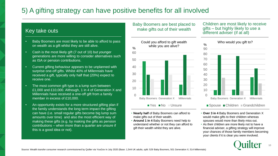## 5) A gifting strategy can have positive benefits for all involved

## Key take outs

- Baby Boomers are most likely to be able to afford to pass on wealth as a gift whilst they are still alive.
- Cash is the most likely gift (7 out of 10) but younger generations are more willing to consider alternatives such as ISA or pension contributions.
- Current gifting behaviour appears to be unplanned with surprise one-off gifts. Whilst 40% of Millennials have received a gift, typically only half that (20%) expect to receive one.
- The most common gift type is a lump sum between £1,000 and £10,000. Although, 1 in 4 of Generation X and Millennials have received a one-off gift from a family member in excess of £10,000.
- An opportunity exists for a more structured gifting plan if the family understands the long term impact the gifting can have (i.e. small regular gifts become big lump sum amounts over time) and also the most efficient way of making these gifts (e.g. by making the gifts as pension contributions – when more than a quarter are unsure if this is a good idea or not).

#### Baby Boomers are best placed to make gifts out of their wealth



Children are most likely to receive gifts – but highly likely to use a different adviser (if at all)



- **Nearly half** of Baby Boomers can afford to make gifts out of their wealth.
- **Around 1 in 4** Baby Boomers need help to understand whether or not they can afford to gift their wealth whilst they are alive.
- **Over 3 in 4** Baby Boomers and Generation X would make gifts to their children whereas spouses would more than likely miss out.
- As their children are more likely not to have a financial adviser, a gifting strategy will improve your chances of those family members becoming your clients if it is clear you were involved.

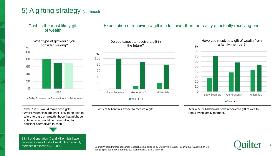

- Over 7 in 10 would make cash gifts.
- Whilst Millennials are least likely to be able to afford to pass on wealth, those that might be able to do so would be more willing to consider alternatives to cash.



1 in 4 of Generation X and Millennials have received a one-off gift of wealth from a family member in excess of £10,000.

## • 20% of Millennials expect to receive a gift.

• Over 40% of Millennials have received a gift of wealth from a living family member.

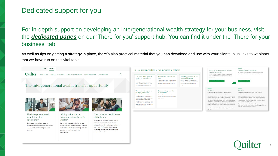generations.

For in-depth support on developing an intergenerational wealth strategy for your business, visit the *[dedicated pages](https://thereforyou.quilter.com/there-for-your-business/the-intergenerational-wealth-transfer-opportunity/adding-new-clients-should-be-a-family-affair/)* on our 'There for you' support hub. You can find it under the 'There for your business' tab.

As well as tips on getting a strategy in place, there's also practical material that you can download and use with your clients, plus links to webinars that we have run on this vital topic.



you to their family.